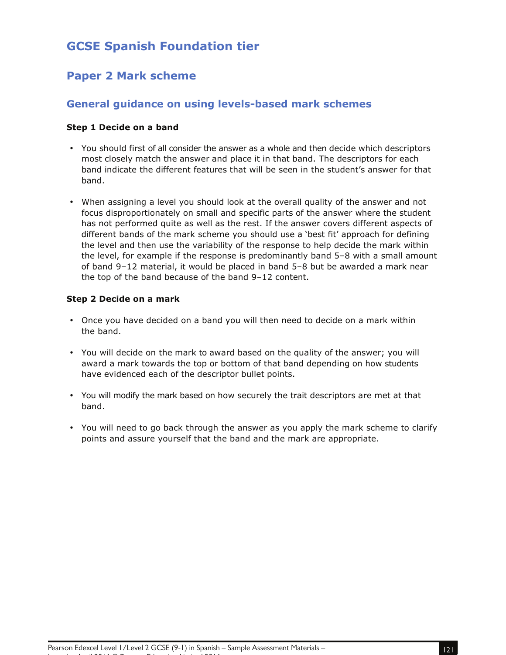# **GCSE Spanish Foundation tier**

# **Paper 2 Mark scheme**

# **General guidance on using levels-based mark schemes**

#### **Step 1 Decide on a band**

- You should first of all consider the answer as a whole and then decide which descriptors most closely match the answer and place it in that band. The descriptors for each band indicate the different features that will be seen in the student's answer for that band.
- When assigning a level you should look at the overall quality of the answer and not focus disproportionately on small and specific parts of the answer where the student has not performed quite as well as the rest. If the answer covers different aspects of different bands of the mark scheme you should use a 'best fit' approach for defining the level and then use the variability of the response to help decide the mark within the level, for example if the response is predominantly band 5–8 with a small amount of band 9–12 material, it would be placed in band 5–8 but be awarded a mark near the top of the band because of the band 9–12 content.

#### **Step 2 Decide on a mark**

- Once you have decided on a band you will then need to decide on a mark within the band.
- You will decide on the mark to award based on the quality of the answer; you will award a mark towards the top or bottom of that band depending on how students have evidenced each of the descriptor bullet points.
- You will modify the mark based on how securely the trait descriptors are met at that band.
- You will need to go back through the answer as you apply the mark scheme to clarify points and assure yourself that the band and the mark are appropriate.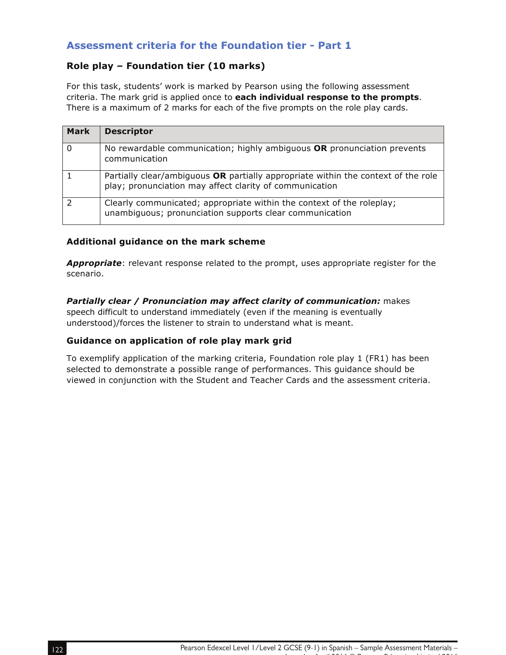# **Assessment criteria for the Foundation tier - Part 1**

# **Role play – Foundation tier (10 marks)**

For this task, students' work is marked by Pearson using the following assessment criteria. The mark grid is applied once to **each individual response to the prompts**. There is a maximum of 2 marks for each of the five prompts on the role play cards.

| Mark     | <b>Descriptor</b>                                                                                                                            |
|----------|----------------------------------------------------------------------------------------------------------------------------------------------|
| $\Omega$ | No rewardable communication; highly ambiguous OR pronunciation prevents<br>communication                                                     |
|          | Partially clear/ambiguous OR partially appropriate within the context of the role<br>play; pronunciation may affect clarity of communication |
|          | Clearly communicated; appropriate within the context of the roleplay;<br>unambiguous; pronunciation supports clear communication             |

#### **Additional guidance on the mark scheme**

*Appropriate*: relevant response related to the prompt, uses appropriate register for the scenario.

*Partially clear / Pronunciation may affect clarity of communication:* makes speech difficult to understand immediately (even if the meaning is eventually understood)/forces the listener to strain to understand what is meant.

#### **Guidance on application of role play mark grid**

To exemplify application of the marking criteria, Foundation role play 1 (FR1) has been selected to demonstrate a possible range of performances. This guidance should be viewed in conjunction with the Student and Teacher Cards and the assessment criteria.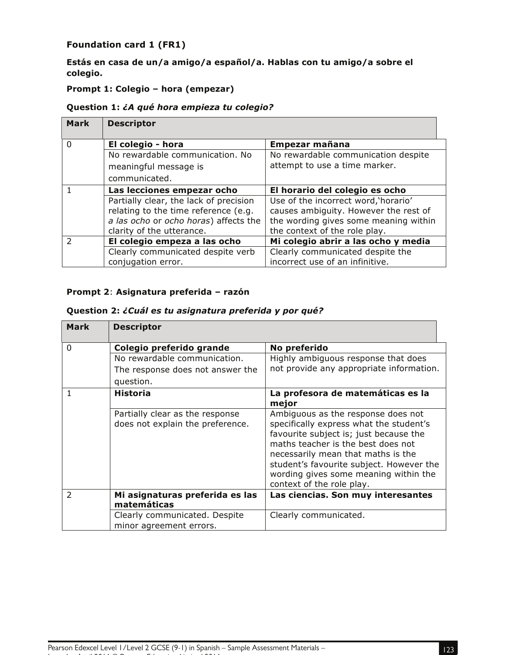# **Foundation card 1 (FR1)**

**Estás en casa de un/a amigo/a español/a. Hablas con tu amigo/a sobre el colegio.** 

# **Prompt 1: Colegio – hora (empezar)**

#### **Question 1:** *¿A qué hora empieza tu colegio?*

| <b>Mark</b> | <b>Descriptor</b>                                                                                                                                    |                                                                                                                                                         |
|-------------|------------------------------------------------------------------------------------------------------------------------------------------------------|---------------------------------------------------------------------------------------------------------------------------------------------------------|
| $\Omega$    | El colegio - hora                                                                                                                                    | Empezar mañana                                                                                                                                          |
|             | No rewardable communication. No<br>meaningful message is<br>communicated.                                                                            | No rewardable communication despite<br>attempt to use a time marker.                                                                                    |
|             | Las lecciones empezar ocho                                                                                                                           | El horario del colegio es ocho                                                                                                                          |
|             | Partially clear, the lack of precision<br>relating to the time reference (e.g.<br>a las ocho or ocho horas) affects the<br>clarity of the utterance. | Use of the incorrect word, 'horario'<br>causes ambiguity. However the rest of<br>the wording gives some meaning within<br>the context of the role play. |
|             | El colegio empeza a las ocho                                                                                                                         | Mi colegio abrir a las ocho y media                                                                                                                     |
|             | Clearly communicated despite verb<br>conjugation error.                                                                                              | Clearly communicated despite the<br>incorrect use of an infinitive.                                                                                     |

# **Prompt 2**: **Asignatura preferida – razón**

#### **Question 2:** *¿Cuál es tu asignatura preferida y por qué?*

| <b>Mark</b>    | <b>Descriptor</b>                |                                                                                |
|----------------|----------------------------------|--------------------------------------------------------------------------------|
| 0              | Colegio preferido grande         | No preferido                                                                   |
|                | No rewardable communication.     | Highly ambiguous response that does                                            |
|                | The response does not answer the | not provide any appropriate information.                                       |
|                | question.                        |                                                                                |
| 1              | Historia                         | La profesora de matemáticas es la<br>mejor                                     |
|                | Partially clear as the response  | Ambiguous as the response does not                                             |
|                | does not explain the preference. | specifically express what the student's                                        |
|                |                                  | favourite subject is; just because the                                         |
|                |                                  | maths teacher is the best does not                                             |
|                |                                  | necessarily mean that maths is the<br>student's favourite subject. However the |
|                |                                  | wording gives some meaning within the                                          |
|                |                                  | context of the role play.                                                      |
| $\overline{2}$ | Mi asignaturas preferida es las  | Las ciencias. Son muy interesantes                                             |
|                | matemáticas                      |                                                                                |
|                | Clearly communicated. Despite    | Clearly communicated.                                                          |
|                | minor agreement errors.          |                                                                                |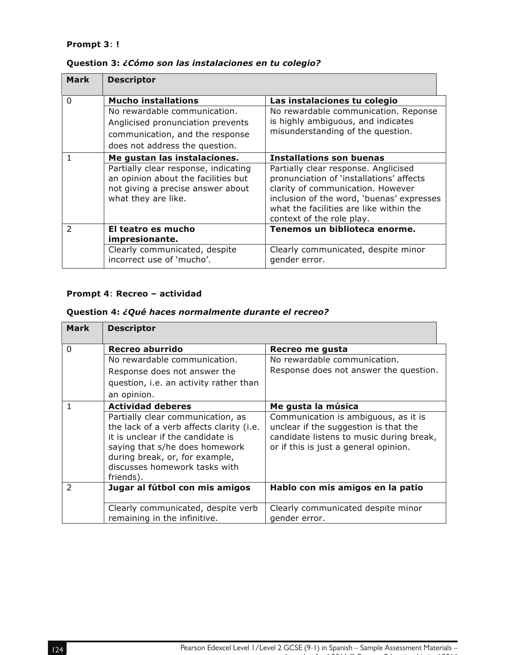### **Prompt 3**: **!**

| <b>Mark</b>   | <b>Descriptor</b>                                                                                                                       |                                                                                                                                                                                                                                            |
|---------------|-----------------------------------------------------------------------------------------------------------------------------------------|--------------------------------------------------------------------------------------------------------------------------------------------------------------------------------------------------------------------------------------------|
| $\Omega$      | <b>Mucho installations</b>                                                                                                              | Las instalaciones tu colegio                                                                                                                                                                                                               |
|               | No rewardable communication.                                                                                                            | No rewardable communication. Reponse                                                                                                                                                                                                       |
|               | Anglicised pronunciation prevents                                                                                                       | is highly ambiguous, and indicates                                                                                                                                                                                                         |
|               | communication, and the response                                                                                                         | misunderstanding of the question.                                                                                                                                                                                                          |
|               | does not address the question.                                                                                                          |                                                                                                                                                                                                                                            |
|               | Me gustan las instalaciones.                                                                                                            | Installations son buenas                                                                                                                                                                                                                   |
|               | Partially clear response, indicating<br>an opinion about the facilities but<br>not giving a precise answer about<br>what they are like. | Partially clear response. Anglicised<br>pronunciation of 'installations' affects<br>clarity of communication. However<br>inclusion of the word, 'buenas' expresses<br>what the facilities are like within the<br>context of the role play. |
| $\mathcal{P}$ | El teatro es mucho                                                                                                                      | Tenemos un biblioteca enorme.                                                                                                                                                                                                              |
|               | impresionante.                                                                                                                          |                                                                                                                                                                                                                                            |
|               | Clearly communicated, despite                                                                                                           | Clearly communicated, despite minor                                                                                                                                                                                                        |
|               | incorrect use of 'mucho'.                                                                                                               | gender error.                                                                                                                                                                                                                              |

## **Question 3:** *¿Cómo son las instalaciones en tu colegio?*

### **Prompt 4**: **Recreo – actividad**

# **Question 4:** *¿Qué haces normalmente durante el recreo?*

| <b>Mark</b>   | <b>Descriptor</b>                                                                                                                                                                                                                    |                                                                                                                                                                    |
|---------------|--------------------------------------------------------------------------------------------------------------------------------------------------------------------------------------------------------------------------------------|--------------------------------------------------------------------------------------------------------------------------------------------------------------------|
| $\Omega$      | Recreo aburrido                                                                                                                                                                                                                      | Recreo me gusta                                                                                                                                                    |
|               | No rewardable communication.                                                                                                                                                                                                         | No rewardable communication.                                                                                                                                       |
|               | Response does not answer the                                                                                                                                                                                                         | Response does not answer the question.                                                                                                                             |
|               | question, i.e. an activity rather than                                                                                                                                                                                               |                                                                                                                                                                    |
|               | an opinion.                                                                                                                                                                                                                          |                                                                                                                                                                    |
|               | <b>Actividad deberes</b>                                                                                                                                                                                                             | Me gusta la música                                                                                                                                                 |
|               | Partially clear communication, as<br>the lack of a verb affects clarity (i.e.<br>it is unclear if the candidate is<br>saying that s/he does homework<br>during break, or, for example,<br>discusses homework tasks with<br>friends). | Communication is ambiguous, as it is<br>unclear if the suggestion is that the<br>candidate listens to music during break,<br>or if this is just a general opinion. |
| $\mathcal{P}$ | Jugar al fútbol con mis amigos                                                                                                                                                                                                       | Hablo con mis amigos en la patio                                                                                                                                   |
|               | Clearly communicated, despite verb<br>remaining in the infinitive.                                                                                                                                                                   | Clearly communicated despite minor<br>gender error.                                                                                                                |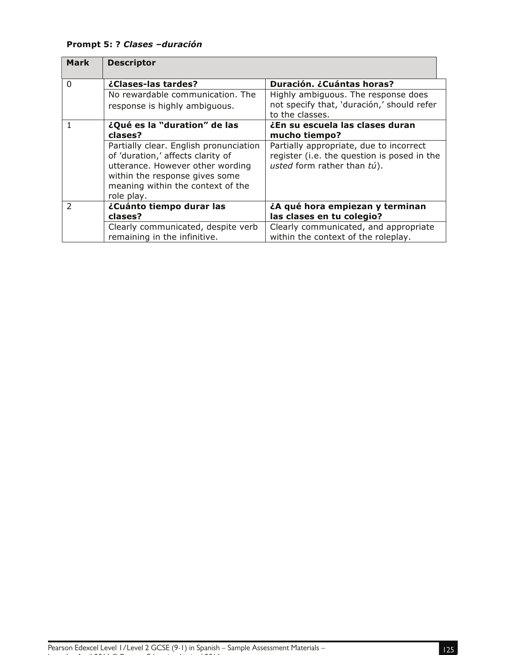**Prompt 5: ?** *Clases –duración* 

| <b>Mark</b>   | <b>Descriptor</b>                      |                                             |
|---------------|----------------------------------------|---------------------------------------------|
| $\Omega$      | ¿Clases-las tardes?                    | Duración. ¿Cuántas horas?                   |
|               | No rewardable communication. The       | Highly ambiguous. The response does         |
|               | response is highly ambiguous.          | not specify that, 'duración,' should refer  |
|               |                                        | to the classes.                             |
|               | ¿Qué es la "duration" de las           | ¿En su escuela las clases duran             |
|               | clases?                                | mucho tiempo?                               |
|               | Partially clear. English pronunciation | Partially appropriate, due to incorrect     |
|               | of 'duration,' affects clarity of      | register (i.e. the question is posed in the |
|               | utterance. However other wording       | usted form rather than tú).                 |
|               | within the response gives some         |                                             |
|               | meaning within the context of the      |                                             |
|               | role play.                             |                                             |
| $\mathcal{P}$ | ¿Cuánto tiempo durar las               | ¿A qué hora empiezan y terminan             |
|               | clases?                                | las clases en tu colegio?                   |
|               | Clearly communicated, despite verb     | Clearly communicated, and appropriate       |
|               | remaining in the infinitive.           | within the context of the roleplay.         |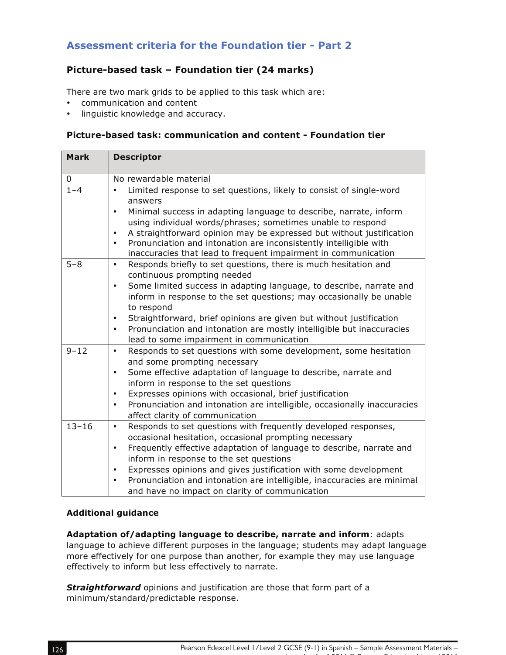# **Assessment criteria for the Foundation tier - Part 2**

# **Picture-based task – Foundation tier (24 marks)**

There are two mark grids to be applied to this task which are:

- communication and content
- linguistic knowledge and accuracy.

#### **Picture-based task: communication and content - Foundation tier**

| <b>Mark</b> | <b>Descriptor</b>                                                                                                                                                                                                                                                                                                                                                                                                                                                                               |
|-------------|-------------------------------------------------------------------------------------------------------------------------------------------------------------------------------------------------------------------------------------------------------------------------------------------------------------------------------------------------------------------------------------------------------------------------------------------------------------------------------------------------|
| 0           | No rewardable material                                                                                                                                                                                                                                                                                                                                                                                                                                                                          |
| $1 - 4$     | Limited response to set questions, likely to consist of single-word<br>$\bullet$<br>answers<br>Minimal success in adapting language to describe, narrate, inform<br>$\bullet$<br>using individual words/phrases; sometimes unable to respond<br>A straightforward opinion may be expressed but without justification<br>$\bullet$<br>Pronunciation and intonation are inconsistently intelligible with<br>$\bullet$<br>inaccuracies that lead to frequent impairment in communication           |
| $5 - 8$     | Responds briefly to set questions, there is much hesitation and<br>$\bullet$<br>continuous prompting needed<br>Some limited success in adapting language, to describe, narrate and<br>$\bullet$<br>inform in response to the set questions; may occasionally be unable<br>to respond<br>Straightforward, brief opinions are given but without justification<br>$\bullet$<br>Pronunciation and intonation are mostly intelligible but inaccuracies<br>$\bullet$                                  |
|             | lead to some impairment in communication                                                                                                                                                                                                                                                                                                                                                                                                                                                        |
| $9 - 12$    | Responds to set questions with some development, some hesitation<br>$\bullet$<br>and some prompting necessary<br>Some effective adaptation of language to describe, narrate and<br>$\bullet$<br>inform in response to the set questions<br>Expresses opinions with occasional, brief justification<br>$\bullet$<br>Pronunciation and intonation are intelligible, occasionally inaccuracies<br>$\bullet$<br>affect clarity of communication                                                     |
| $13 - 16$   | Responds to set questions with frequently developed responses,<br>$\bullet$<br>occasional hesitation, occasional prompting necessary<br>Frequently effective adaptation of language to describe, narrate and<br>$\bullet$<br>inform in response to the set questions<br>Expresses opinions and gives justification with some development<br>$\bullet$<br>Pronunciation and intonation are intelligible, inaccuracies are minimal<br>$\bullet$<br>and have no impact on clarity of communication |

#### **Additional guidance**

**Adaptation of/adapting language to describe, narrate and inform**: adapts language to achieve different purposes in the language; students may adapt language more effectively for one purpose than another, for example they may use language effectively to inform but less effectively to narrate.

*Straightforward* opinions and justification are those that form part of a minimum/standard/predictable response.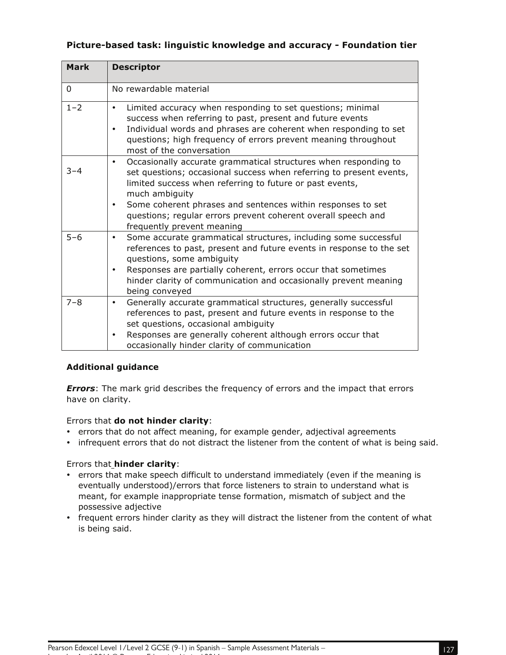| <b>Mark</b> | <b>Descriptor</b>                                                                                                                                                                                                                                                                                                                                                                                            |
|-------------|--------------------------------------------------------------------------------------------------------------------------------------------------------------------------------------------------------------------------------------------------------------------------------------------------------------------------------------------------------------------------------------------------------------|
|             |                                                                                                                                                                                                                                                                                                                                                                                                              |
| $\Omega$    | No rewardable material                                                                                                                                                                                                                                                                                                                                                                                       |
| $1 - 2$     | Limited accuracy when responding to set questions; minimal<br>٠<br>success when referring to past, present and future events<br>Individual words and phrases are coherent when responding to set<br>٠<br>questions; high frequency of errors prevent meaning throughout<br>most of the conversation                                                                                                          |
| $3 - 4$     | Occasionally accurate grammatical structures when responding to<br>$\bullet$<br>set questions; occasional success when referring to present events,<br>limited success when referring to future or past events,<br>much ambiguity<br>Some coherent phrases and sentences within responses to set<br>$\bullet$<br>questions; regular errors prevent coherent overall speech and<br>frequently prevent meaning |
| $5 - 6$     | Some accurate grammatical structures, including some successful<br>$\bullet$<br>references to past, present and future events in response to the set<br>questions, some ambiguity<br>Responses are partially coherent, errors occur that sometimes<br>$\bullet$<br>hinder clarity of communication and occasionally prevent meaning<br>being conveyed                                                        |
| $7 - 8$     | Generally accurate grammatical structures, generally successful<br>$\bullet$<br>references to past, present and future events in response to the<br>set questions, occasional ambiguity<br>Responses are generally coherent although errors occur that<br>٠<br>occasionally hinder clarity of communication                                                                                                  |

### **Picture-based task: linguistic knowledge and accuracy - Foundation tier**

#### **Additional guidance**

*Errors*: The mark grid describes the frequency of errors and the impact that errors have on clarity.

#### Errors that **do not hinder clarity**:

- errors that do not affect meaning, for example gender, adjectival agreements
- infrequent errors that do not distract the listener from the content of what is being said.

#### Errors that **hinder clarity**:

- errors that make speech difficult to understand immediately (even if the meaning is eventually understood)/errors that force listeners to strain to understand what is meant, for example inappropriate tense formation, mismatch of subject and the possessive adjective
- frequent errors hinder clarity as they will distract the listener from the content of what is being said.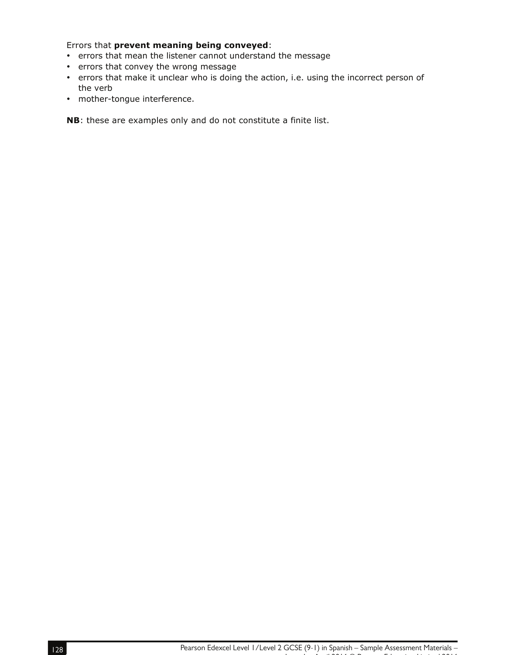Errors that **prevent meaning being conveyed**:

- errors that mean the listener cannot understand the message
- errors that convey the wrong message
- errors that make it unclear who is doing the action, i.e. using the incorrect person of the verb
- mother-tongue interference.

**NB**: these are examples only and do not constitute a finite list.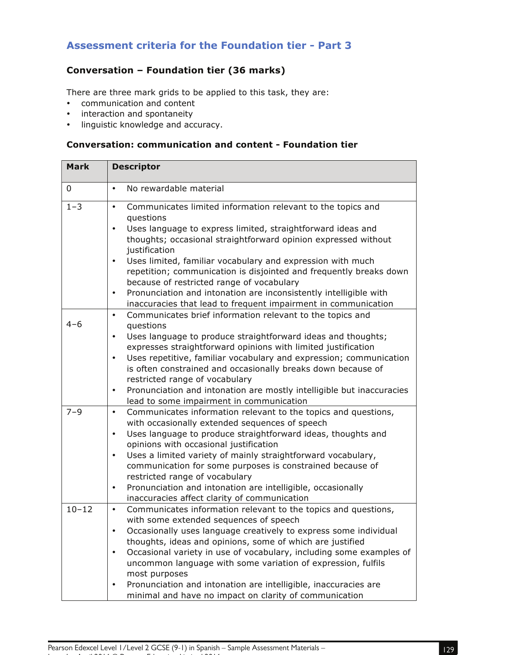# **Assessment criteria for the Foundation tier - Part 3**

# **Conversation – Foundation tier (36 marks)**

There are three mark grids to be applied to this task, they are:

- communication and content
- interaction and spontaneity
- linguistic knowledge and accuracy.

# **Conversation: communication and content - Foundation tier**

| <b>Mark</b> | <b>Descriptor</b>                                                                                                                                                                                                                                                                                                                                                                                                                                                                                                                                            |
|-------------|--------------------------------------------------------------------------------------------------------------------------------------------------------------------------------------------------------------------------------------------------------------------------------------------------------------------------------------------------------------------------------------------------------------------------------------------------------------------------------------------------------------------------------------------------------------|
| 0           | No rewardable material<br>$\bullet$                                                                                                                                                                                                                                                                                                                                                                                                                                                                                                                          |
| $1 - 3$     | Communicates limited information relevant to the topics and<br>$\bullet$<br>questions<br>Uses language to express limited, straightforward ideas and<br>$\bullet$<br>thoughts; occasional straightforward opinion expressed without<br>justification<br>Uses limited, familiar vocabulary and expression with much<br>$\bullet$<br>repetition; communication is disjointed and frequently breaks down                                                                                                                                                        |
|             | because of restricted range of vocabulary<br>Pronunciation and intonation are inconsistently intelligible with<br>$\bullet$<br>inaccuracies that lead to frequent impairment in communication                                                                                                                                                                                                                                                                                                                                                                |
| $4 - 6$     | Communicates brief information relevant to the topics and<br>$\bullet$<br>questions<br>Uses language to produce straightforward ideas and thoughts;<br>$\bullet$<br>expresses straightforward opinions with limited justification<br>Uses repetitive, familiar vocabulary and expression; communication<br>$\bullet$<br>is often constrained and occasionally breaks down because of<br>restricted range of vocabulary                                                                                                                                       |
|             | Pronunciation and intonation are mostly intelligible but inaccuracies<br>$\bullet$<br>lead to some impairment in communication                                                                                                                                                                                                                                                                                                                                                                                                                               |
| $7 - 9$     | Communicates information relevant to the topics and questions,<br>$\bullet$<br>with occasionally extended sequences of speech<br>Uses language to produce straightforward ideas, thoughts and<br>$\bullet$<br>opinions with occasional justification<br>Uses a limited variety of mainly straightforward vocabulary,<br>$\bullet$<br>communication for some purposes is constrained because of<br>restricted range of vocabulary<br>Pronunciation and intonation are intelligible, occasionally<br>$\bullet$<br>inaccuracies affect clarity of communication |
| $10 - 12$   | Communicates information relevant to the topics and questions,<br>$\bullet$<br>with some extended sequences of speech<br>Occasionally uses language creatively to express some individual<br>thoughts, ideas and opinions, some of which are justified<br>Occasional variety in use of vocabulary, including some examples of<br>٠<br>uncommon language with some variation of expression, fulfils<br>most purposes<br>Pronunciation and intonation are intelligible, inaccuracies are<br>٠<br>minimal and have no impact on clarity of communication        |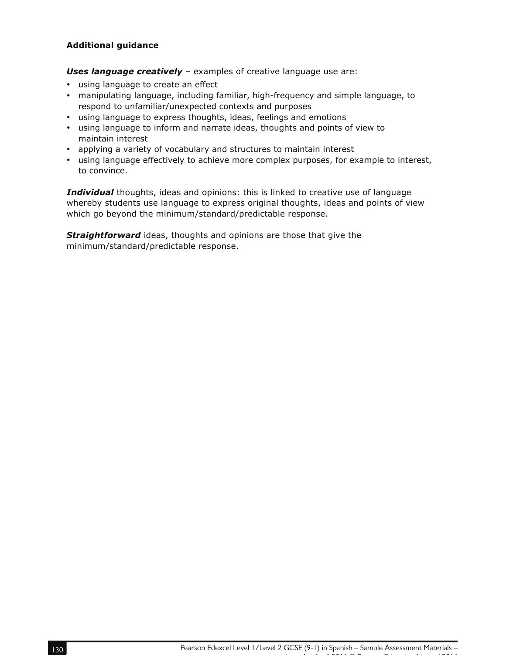#### **Additional guidance**

*Uses language creatively* – examples of creative language use are:

- using language to create an effect
- manipulating language, including familiar, high-frequency and simple language, to respond to unfamiliar/unexpected contexts and purposes
- using language to express thoughts, ideas, feelings and emotions
- using language to inform and narrate ideas, thoughts and points of view to maintain interest
- applying a variety of vocabulary and structures to maintain interest
- using language effectively to achieve more complex purposes, for example to interest, to convince.

*Individual* thoughts, ideas and opinions: this is linked to creative use of language whereby students use language to express original thoughts, ideas and points of view which go beyond the minimum/standard/predictable response.

**Straightforward** ideas, thoughts and opinions are those that give the minimum/standard/predictable response.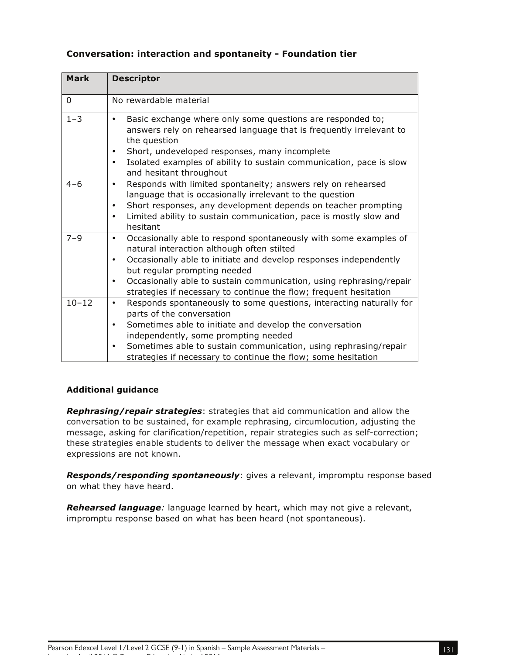| <b>Mark</b> | <b>Descriptor</b>                                                                                                                                                                                                                                                                                                                                                                      |
|-------------|----------------------------------------------------------------------------------------------------------------------------------------------------------------------------------------------------------------------------------------------------------------------------------------------------------------------------------------------------------------------------------------|
| 0           | No rewardable material                                                                                                                                                                                                                                                                                                                                                                 |
| $1 - 3$     | Basic exchange where only some questions are responded to;<br>$\bullet$<br>answers rely on rehearsed language that is frequently irrelevant to<br>the question<br>Short, undeveloped responses, many incomplete<br>$\bullet$<br>Isolated examples of ability to sustain communication, pace is slow<br>$\bullet$<br>and hesitant throughout                                            |
| $4 - 6$     | Responds with limited spontaneity; answers rely on rehearsed<br>$\bullet$<br>language that is occasionally irrelevant to the question<br>Short responses, any development depends on teacher prompting<br>٠<br>Limited ability to sustain communication, pace is mostly slow and<br>٠<br>hesitant                                                                                      |
| $7 - 9$     | Occasionally able to respond spontaneously with some examples of<br>$\bullet$<br>natural interaction although often stilted<br>Occasionally able to initiate and develop responses independently<br>٠<br>but regular prompting needed<br>Occasionally able to sustain communication, using rephrasing/repair<br>٠<br>strategies if necessary to continue the flow; frequent hesitation |
| $10 - 12$   | Responds spontaneously to some questions, interacting naturally for<br>$\bullet$<br>parts of the conversation<br>Sometimes able to initiate and develop the conversation<br>$\bullet$<br>independently, some prompting needed<br>Sometimes able to sustain communication, using rephrasing/repair<br>٠<br>strategies if necessary to continue the flow; some hesitation                |

# **Conversation: interaction and spontaneity - Foundation tier**

#### **Additional guidance**

*Rephrasing/repair strategies*: strategies that aid communication and allow the conversation to be sustained, for example rephrasing, circumlocution, adjusting the message, asking for clarification/repetition, repair strategies such as self-correction; these strategies enable students to deliver the message when exact vocabulary or expressions are not known.

*Responds/responding spontaneously*: gives a relevant, impromptu response based on what they have heard.

*Rehearsed language:* language learned by heart, which may not give a relevant, impromptu response based on what has been heard (not spontaneous).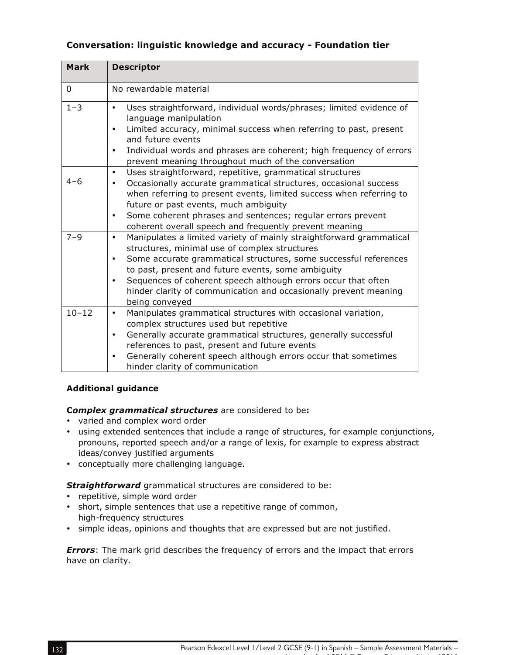### **Conversation: linguistic knowledge and accuracy - Foundation tier**

| <b>Mark</b> | <b>Descriptor</b>                                                                                                                                                                                                                                                                                                                                                                                                                    |
|-------------|--------------------------------------------------------------------------------------------------------------------------------------------------------------------------------------------------------------------------------------------------------------------------------------------------------------------------------------------------------------------------------------------------------------------------------------|
| $\mathbf 0$ | No rewardable material                                                                                                                                                                                                                                                                                                                                                                                                               |
| $1 - 3$     | Uses straightforward, individual words/phrases; limited evidence of<br>$\bullet$<br>language manipulation<br>Limited accuracy, minimal success when referring to past, present<br>$\bullet$<br>and future events<br>Individual words and phrases are coherent; high frequency of errors<br>$\bullet$<br>prevent meaning throughout much of the conversation                                                                          |
| $4 - 6$     | Uses straightforward, repetitive, grammatical structures<br>$\bullet$<br>Occasionally accurate grammatical structures, occasional success<br>when referring to present events, limited success when referring to<br>future or past events, much ambiguity<br>Some coherent phrases and sentences; regular errors prevent<br>٠<br>coherent overall speech and frequently prevent meaning                                              |
| $7 - 9$     | Manipulates a limited variety of mainly straightforward grammatical<br>$\bullet$<br>structures, minimal use of complex structures<br>Some accurate grammatical structures, some successful references<br>٠<br>to past, present and future events, some ambiguity<br>Sequences of coherent speech although errors occur that often<br>$\bullet$<br>hinder clarity of communication and occasionally prevent meaning<br>being conveyed |
| $10 - 12$   | Manipulates grammatical structures with occasional variation,<br>$\bullet$<br>complex structures used but repetitive<br>Generally accurate grammatical structures, generally successful<br>$\bullet$<br>references to past, present and future events<br>Generally coherent speech although errors occur that sometimes<br>$\bullet$<br>hinder clarity of communication                                                              |

#### **Additional guidance**

#### **C***omplex grammatical structures* are considered to be**:**

- varied and complex word order
- using extended sentences that include a range of structures, for example conjunctions, pronouns, reported speech and/or a range of lexis, for example to express abstract ideas/convey justified arguments
- conceptually more challenging language.

*Straightforward* grammatical structures are considered to be:

- repetitive, simple word order
- short, simple sentences that use a repetitive range of common, high-frequency structures
- simple ideas, opinions and thoughts that are expressed but are not justified.

**Errors**: The mark grid describes the frequency of errors and the impact that errors have on clarity.